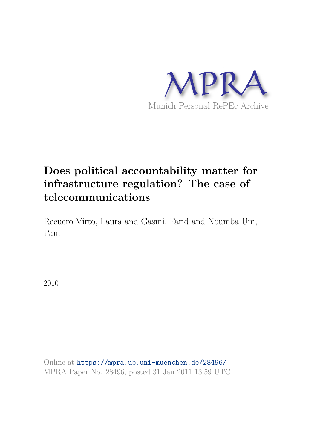

# **Does political accountability matter for infrastructure regulation? The case of telecommunications**

Recuero Virto, Laura and Gasmi, Farid and Noumba Um, Paul

2010

Online at https://mpra.ub.uni-muenchen.de/28496/ MPRA Paper No. 28496, posted 31 Jan 2011 13:59 UTC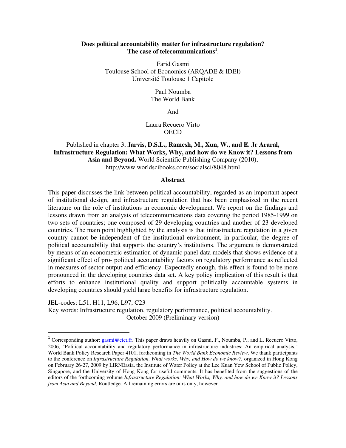### **Does political accountability matter for infrastructure regulation? The case of telecommunications<sup>1</sup>** .

Farid Gasmi Toulouse School of Economics (ARQADE & IDEI) Université Toulouse 1 Capitole

> Paul Noumba The World Bank

> > And

Laura Recuero Virto **OECD** 

#### Published in chapter 3, **Jarvis, D.S.L., Ramesh, M., Xun, W., and E. Jr Araral, Infrastructure Regulation: What Works, Why, and how do we Know it? Lessons from Asia and Beyond.** World Scientific Publishing Company (2010), http://www.worldscibooks.com/socialsci/8048.html

#### **Abstract**

This paper discusses the link between political accountability, regarded as an important aspect of institutional design, and infrastructure regulation that has been emphasized in the recent literature on the role of institutions in economic development. We report on the findings and lessons drawn from an analysis of telecommunications data covering the period 1985-1999 on two sets of countries; one composed of 29 developing countries and another of 23 developed countries. The main point highlighted by the analysis is that infrastructure regulation in a given country cannot be independent of the institutional environment, in particular, the degree of political accountability that supports the country's institutions. The argument is demonstrated by means of an econometric estimation of dynamic panel data models that shows evidence of a significant effect of pro- political accountability factors on regulatory performance as reflected in measures of sector output and efficiency. Expectedly enough, this effect is found to be more pronounced in the developing countries data set. A key policy implication of this result is that efforts to enhance institutional quality and support politically accountable systems in developing countries should yield large benefits for infrastructure regulation.

JEL-codes: L51, H11, L96, L97, C23

l

Key words: Infrastructure regulation, regulatory performance, political accountability. October 2009 (Preliminary version)

<sup>&</sup>lt;sup>1</sup> Corresponding author: gasmi@cict.fr. This paper draws heavily on Gasmi, F., Noumba, P., and L. Recuero Virto, 2006, "Political accountability and regulatory performance in infrastructure industries: An empirical analysis," World Bank Policy Research Paper 4101, forthcoming in *The World Bank Economic Review*. We thank participants to the conference on *Infrastructure Regulation, What works, Why, and How do we know?, organized in Hong Kong* on February 26-27, 2009 by LIRNEasia, the Institute of Water Policy at the Lee Kuan Yew School of Public Policy, Singapore, and the University of Hong Kong for useful comments. It has benefited from the suggestions of the editors of the forthcoming volume *Infrastructure Regulation: What Works, Why, and how do we Know it? Lessons from Asia and Beyond*, Routledge. All remaining errors are ours only, however.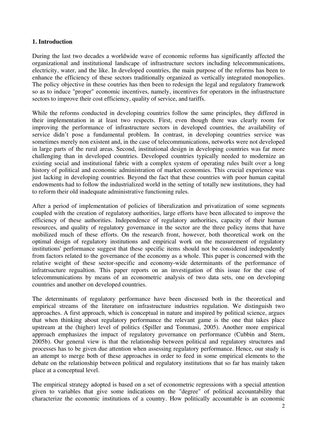# **1. Introduction**

During the last two decades a worldwide wave of economic reforms has significantly affected the organizational and institutional landscape of infrastructure sectors including telecommunications, electricity, water, and the like. In developed countries, the main purpose of the reforms has been to enhance the efficiency of these sectors traditionally organized as vertically integrated monopolies. The policy objective in these coutries has then been to redesign the legal and regulatory framework so as to induce "proper" economic incentives, namely, incentives for operators in the infrastructure sectors to improve their cost efficiency, quality of service, and tariffs.

While the reforms conducted in developing countries follow the same principles, they differed in their implementation in at least two respects. First, even though there was clearly room for improving the performance of infrastructure sectors in developed countries, the availability of service didn't pose a fundamental problem. In contrast, in developing countries service was sometimes merely non existent and, in the case of telecommunications, networks were not developed in large parts of the rural areas. Second, institutional design in developing countries was far more challenging than in developed countries. Developed countries typically needed to modernize an existing social and institutional fabric with a complex system of operating rules built over a long history of political and economic administration of market economies. This crucial experience was just lacking in developing countries. Beyond the fact that these countries with poor human capital endowments had to follow the industrialized world in the setting of totally new institutions, they had to reform their old inadequate administrative functioning rules.

After a period of implementation of policies of liberalization and privatization of some segments coupled with the creation of regulatory authorities, large efforts have been allocated to improve the efficiency of these authorities. Independence of regulatory authorities, capacity of their human resources, and quality of regulatory governance in the sector are the three policy items that have mobilized much of these efforts. On the research front, however, both theoretical work on the optimal design of regulatory institutions and empirical work on the measurement of regulatory institutions' performance suggest that these specific items should not be considered independently from factors related to the governance of the economy as a whole. This paper is concerned with the relative weight of these sector-specific and economy-wide determinants of the performance of infratrsucture regualtion. This paper reports on an investigation of this issue for the case of telecommunications by means of an econometric analysis of two data sets, one on developing countries and another on developed countries.

The determinants of regulatory performance have been discussed both in the theoretical and empirical streams of the literature on infrastructure industries regulation. We distinguish two approaches. A first approach, which is conceptual in nature and inspired by political science, argues that when thinking about regulatory performance the relevant game is the one that takes place upstream at the (higher) level of politics (Spiller and Tommasi, 2005). Another more empirical approach emphasizes the impact of regulatory governance on performance (Cubbin and Stern, 2005b). Our general view is that the relationship between political and regulatory structures and processes has to be given due attention when assessing regulatory performance. Hence, our study is an attempt to merge both of these approaches in order to feed in some empirical elements to the debate on the relationship between political and regulatory institutions that so far has mainly taken place at a conceptual level.

The empirical strategy adopted is based on a set of econometric regressions with a special attention given to variables that give some indications on the "degree" of political accountability that characterize the economic institutions of a country. How politically accountable is an economic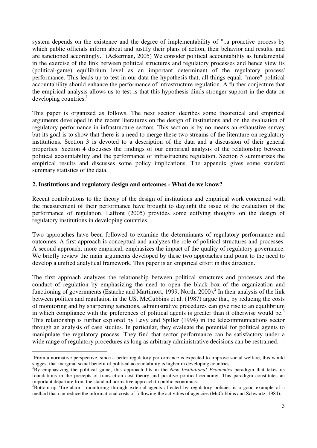system depends on the existence and the degree of implementability of "..a proactive process by which public officials inform about and justify their plans of action, their behavior and results, and are sanctioned accordingly." (Ackerman, 2005) We consider political accountability as fundamental in the exercise of the link between political structures and regulatory processes and hence view its (political-game) equilibrium level as an important determinant of the regulatory process' performance. This leads up to test in our data the hypothesis that, all things equal, "more" political accountability should enhance the performance of infrastructure regulation. A further conjecture that the empirical analysis allows us to test is that this hypothesis dinds stronger support in the data on developing countries. $<sup>1</sup>$ </sup>

This paper is organized as follows. The next section decribes some theoretical and empirical arguments developed in the recent literatures on the design of institutions and on the evaluation of regulatory performance in infrastructure sectors. This section is by no means an exhaustive survey but its goal is to show that there is a need to merge these two streams of the literature on regulatory institutions. Section 3 is devoted to a description of the data and a discussion of their general properties. Section 4 discusses the findings of our empirical analysis of the relationship between political accountability and the performance of infrastructure regulation. Section 5 summarizes the empirical results and discusses some policy implications. The appendix gives some standard summary statistics of the data.

### **2. Institutions and regulatory design and outcomes - What do we know?**

Recent contributions to the theory of the design of institutions and empirical work concerned with the measurement of their performance have brought to daylight the issue of the evaluation of the performance of regulation. Laffont (2005) provides some edifying thoughts on the design of regulatory institutions in developing countries.

Two approaches have been followed to examine the determinants of regulatory performance and outcomes. A first approach is conceptual and analyzes the role of political structures and processes. A second approach, more empirical, emphasizes the impact of the quality of regulatory governance. We briefly review the main arguments developed by these two approaches and point to the need to develop a unified analytical framework. This paper is an empirical effort in this direction.

The first approach analyzes the relationship between political structures and processes and the conduct of regulation by emphasizing the need to open the black box of the organization and functioning of governments (Estache and Martimort, 1999, North, 2000).<sup>2</sup> In their analysis of the link between politics and regulation in the US, McCubbins et al. (1987) argue that, by reducing the costs of monitoring and by sharpening sanctions, administrative procedures can give rise to an equilibrium in which compliance with the preferences of political agents is greater than it otherwise would be.<sup>3</sup> This relationship is further explored by Levy and Spiller (1994) in the telecommunications sector through an analysis of case studies. In particular, they evaluate the potential for political agents to manipulate the regulatory process. They find that sector performance can be satisfactory under a wide range of regulatory procedures as long as arbitrary administrative decisions can be restrained.

<sup>&</sup>lt;sup>1</sup>From a normative perspective, since a better regulatory performance is expected to improve social welfare, this would suggest that marginal social benefit of political accountability is higher in developing countries.

<sup>2</sup>By emphasizing the political game, this approach fits in the *New Institutional Economics* paradigm that takes its foundations in the precepts of transaction cost theory and positive political economy. This paradigm constitutes an important departure from the standard normative approach to public economics.

<sup>&</sup>lt;sup>3</sup>Bottom-up "fire-alarm" monitoring through external agents affected by regulatory policies is a good example of a method that can reduce the informational costs of following the activities of agencies (McCubbins and Schwartz, 1984).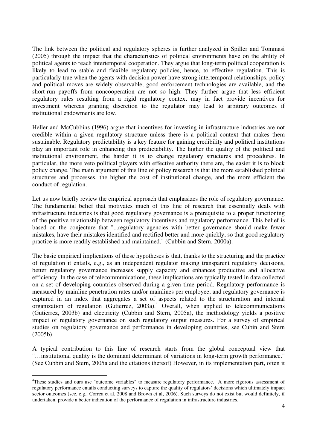The link between the political and regulatory spheres is further analyzed in Spiller and Tommasi (2005) through the impact that the characteristics of political environments have on the ability of political agents to reach intertemporal cooperation. They argue that long-term political cooperation is likely to lead to stable and flexible regulatory policies, hence, to effective regulation. This is particularly true when the agents with decision power have strong intertemporal relationships, policy and political moves are widely observable, good enforcement technologies are available, and the short-run payoffs from noncooperation are not so high. They further argue that less efficient regulatory rules resulting from a rigid regulatory context may in fact provide incentives for investment whereas granting discretion to the regulator may lead to arbitrary outcomes if institutional endowments are low.

Heller and McCubbins (1996) argue that incentives for investing in infrastructure industries are not credible within a given regulatory structure unless there is a political context that makes them sustainable. Regulatory predictability is a key feature for gaining credibility and political institutions play an important role in enhancing this predictability. The higher the quality of the political and institutional environment, the harder it is to change regulatory structures and procedures. In particular, the more veto political players with effective authority there are, the easier it is to block policy change. The main argument of this line of policy research is that the more established political structures and processes, the higher the cost of institutional change, and the more efficient the conduct of regulation.

Let us now briefly review the empirical approach that emphasizes the role of regulatory governance. The fundamental belief that motivates much of this line of research that essentially deals with infrastructure industries is that good regulatory governance is a prerequisite to a proper functioning of the positive relationship between regulatory incentives and regulatory performance. This belief is based on the conjecture that "...regulatory agencies with better governance should make fewer mistakes, have their mistakes identified and rectified better and more quickly, so that good regulatory practice is more readily established and maintained." (Cubbin and Stern, 2000a).

The basic empirical implications of these hypotheses is that, thanks to the structuring and the practice of regulation it entails, e.g., as an independent regulator making transparent regulatory decisions, better regulatory governance increases supply capacity and enhances productive and allocative efficiency. In the case of telecommunications, these implications are typically tested in data collected on a set of developing countries observed during a given time period. Regulatory performance is measured by mainline penetration rates and/or mainlines per employee, and regulatory governance is captured in an index that aggregates a set of aspects related to the structuration and internal organization of regulation (Gutierrez, 2003a).<sup>4</sup> Overall, when applied to telecommunications (Gutierrez, 2003b) and electricity (Cubbin and Stern, 2005a), the methodology yields a positive impact of regulatory governance on such regulatory output measures. For a survey of empirical studies on regulatory governance and performance in developing countries, see Cubin and Stern (2005b).

A typical contribution to this line of research starts from the global conceptual view that "…institutional quality is the dominant determinant of variations in long-term growth performance." (See Cubbin and Stern, 2005a and the citations thereof) However, in its implementation part, often it

l

<sup>4</sup>These studies and ours use "outcome variables" to measure regulatory performance. A more rigorous assessment of regulatory performance entails conducting surveys to capture the quality of regulators' decisions which ultimately impact sector outcomes (see, e.g., Correa et al, 2008 and Brown et al, 2006). Such surveys do not exist but would definitely, if undertaken, provide a better indication of the performance of regulation in infrastructure industries.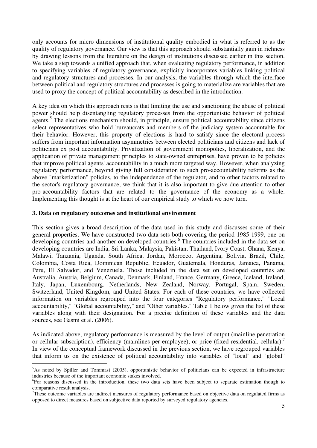only accounts for micro dimensions of institutional quality embodied in what is referred to as the quality of regulatory governance. Our view is that this approach should substantially gain in richness by drawing lessons from the literature on the design of institutions discussed earlier in this section. We take a step towards a unified approach that, when evaluating regulatory performance, in addition to specifying variables of regulatory governance, explicitly incorporates variables linking political and regulatory structures and processes. In our analysis, the variables through which the interface between political and regulatory structures and processes is going to materialize are variables that are used to proxy the concept of political accountability as described in the introduction.

A key idea on which this approach rests is that limiting the use and sanctioning the abuse of political power should help disentangling regulatory processes from the opportunistic behavior of political agents.<sup>5</sup> The elections mechanism should, in principle, ensure political accountability since citizens select representatives who hold bureaucrats and members of the judiciary system accountable for their behavior. However, this property of elections is hard to satisfy since the electoral process suffers from important information asymmetries between elected politicians and citizens and lack of politicians ex post accountability. Privatization of government monopolies, liberalization, and the application of private management principles to state-owned entreprises, have proven to be policies that improve political agents' accountability in a much more targeted way. However, when analyzing regulatory performance, beyond giving full consideration to such pro-accountability reforms as the above "marketization" policies, to the independence of the regulator, and to other factors related to the sector's regulatory governance, we think that it is also important to give due attention to other pro-accountability factors that are related to the governance of the economy as a whole. Implementing this thought is at the heart of our empirical study to which we now turn.

# **3. Data on regulatory outcomes and institutional environment**

This section gives a broad description of the data used in this study and discusses some of their general properties. We have constructed two data sets both covering the period 1985-1999, one on developing countries and another on developed countries.<sup>6</sup> The countries included in the data set on developing countries are India, Sri Lanka, Malaysia, Pakistan, Thailand, Ivory Coast, Ghana, Kenya, Malawi, Tanzania, Uganda, South Africa, Jordan, Morocco, Argentina, Bolivia, Brazil, Chile, Colombia, Costa Rica, Dominican Republic, Ecuador, Guatemala, Honduras, Jamaica, Panama, Peru, El Salvador, and Venezuela. Those included in the data set on developed countries are Australia, Austria, Belgium, Canada, Denmark, Finland, France, Germany, Greece, Iceland, Ireland, Italy, Japan, Luxembourg, Netherlands, New Zealand, Norway, Portugal, Spain, Sweden, Switzerland, United Kingdom, and United States. For each of these countries, we have collected information on variables regrouped into the four categories "Regulatory performance," "Local accountability," "Global accountability," and "Other variables." Table 1 below gives the list of these variables along with their designation. For a precise definition of these variables and the data sources, see Gasmi et al. (2006).

As indicated above, regulatory performance is measured by the level of output (mainline penetration or cellular subscription), efficiency (mainlines per employee), or price (fixed residential, cellular).<sup>7</sup> In view of the conceptual framework discussed in the previous section, we have regrouped variables that inform us on the existence of political accountability into variables of "local" and "global"

<sup>&</sup>lt;sup>5</sup>As noted by Spiller and Tommasi (2005), opportunistic behavior of politicians can be expected in infrastructure industries because of the important economic stakes involved.

<sup>&</sup>lt;sup>6</sup>For reasons discussed in the introduction, these two data sets have been subject to separate estimation though to comparative result analysis.

 $7$ These outcome variables are indirect measures of regulatory performance based on objective data on regulated firms as opposed to direct measures based on subjective data reported by surveyed regulatory agencies.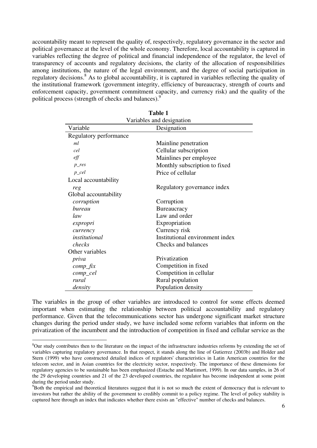accountability meant to represent the quality of, respectively, regulatory governance in the sector and political governance at the level of the whole economy. Therefore, local accountability is captured in variables reflecting the degree of political and financial independence of the regulator, the level of transparency of accounts and regulatory decisions, the clarity of the allocation of responsibilities among institutions, the nature of the legal environment, and the degree of social participation in regulatory decisions.<sup>8</sup> As to global accountability, it is captured in variables reflecting the quality of the institutional framework (government integrity, efficiency of bureaucracy, strength of courts and enforcement capacity, government commitment capacity, and currency risk) and the quality of the political process (strength of checks and balances).<sup>9</sup>

| ташс т                    |                                 |  |  |  |
|---------------------------|---------------------------------|--|--|--|
| Variables and designation |                                 |  |  |  |
| Variable<br>Designation   |                                 |  |  |  |
| Regulatory performance    |                                 |  |  |  |
| ml                        | Mainline penetration            |  |  |  |
| cel                       | Cellular subscription           |  |  |  |
| eff                       | Mainlines per employee          |  |  |  |
| $p_{\perp}$ res           | Monthly subscription to fixed   |  |  |  |
| $p_{\perp}$ cel           | Price of cellular               |  |  |  |
| Local accountability      |                                 |  |  |  |
| reg                       | Regulatory governance index     |  |  |  |
| Global accountability     |                                 |  |  |  |
| corruption                | Corruption                      |  |  |  |
| bureau                    | Bureaucracy                     |  |  |  |
| law                       | Law and order                   |  |  |  |
| expropri                  | Expropriation                   |  |  |  |
| currency                  | Currency risk                   |  |  |  |
| institutional             | Institutional environment index |  |  |  |
| checks                    | Checks and balances             |  |  |  |
| Other variables           |                                 |  |  |  |
| priva                     | Privatization                   |  |  |  |
| $comp\_fix$               | Competition in fixed            |  |  |  |
| comp_cel                  | Competition in cellular         |  |  |  |
| rural                     | Rural population                |  |  |  |
| density                   | Population density              |  |  |  |

| Table 1                   |  |
|---------------------------|--|
| Loriables and designation |  |

The variables in the group of other variables are introduced to control for some effects deemed important when estimating the relationship between political accountability and regulatory performance. Given that the telecommunications sector has undergone significant market structure changes during the period under study, we have included some reform variables that inform on the privatization of the incumbent and the introduction of competition in fixed and cellular service as the

l,

<sup>&</sup>lt;sup>8</sup>Our study contributes then to the literature on the impact of the infrastructure industries reforms by extending the set of variables capturing regulatory governance. In that respect, it stands along the line of Gutierrez (2003b) and Holder and Stern (1999) who have constructed detailed indices of regulators' characteristics in Latin American countries for the telecom sector, and in Asian countries for the electricity sector, respectively. The importance of these dimensions for regulatory agencies to be sustainable has been emphasized (Estache and Martimort, 1999). In our data samples, in 26 of the 29 developing countries and 21 of the 23 developed countries, the regulator has become independent at some point during the period under study.

<sup>&</sup>lt;sup>9</sup>Both the empirical and theoretical literatures suggest that it is not so much the extent of democracy that is relevant to investors but rather the ability of the government to credibly commit to a policy regime. The level of policy stability is captured here through an index that indicates whether there exists an "effective" number of checks and balances.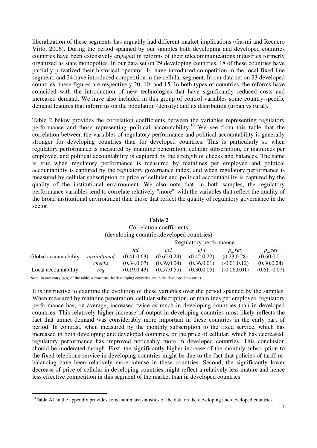liberalization of these segments has arguably had different market implications (Gasmi and Recuero Virto, 2006). During the period spanned by our samples both developing and developed countries countries have been extensively engaged in reforms of their telecommunications industries formerly organized as state monopolies. In our data set on 29 developing countries, 18 of these countries have partially privatized their historical operator, 14 have introduced competition in the local fixed-line segment, and 24 have introduced competition in the cellular segment. In our data set on 23 developed countries, these figures are respectively 20, 10, and 15. In both types of countries, the reforms have coincided with the introduction of new technologies that have significantly reduced costs and increased demand. We have also included in this group of control variables some country-specific demand features that inform us on the population (density) and its distribution (urban vs rural).

Table 2 below provides the correlation coefficients between the variables representing regulatory performance and those representing political accountability.<sup>10</sup> We see from this table that the correlation between the variables of regulatory performance and political accountability is generally stronger for developing countries than for developed countries. This is particularly so when regulatory performance is measured by mainline penetration, cellular subscription, or mainlines per employee, and political accountability is captured by the strength of checks and balances. The same is true when regulatory performance is measured by mainlines per employee and political accountability is captured by the regulatory governance index, and when regulatory performance is measured by cellular subscription or price of cellular and political accountability is captured by the quality of the institutional environment. We also note that, in both samples, the regulatory performance variables tend to correlate relatively "more"' with the variables that reflect the quality of the broad institutional environment than those that reflect the quality of regulatory governance in the sector.

| Table 2                                     |               |                        |              |              |                 |                 |
|---------------------------------------------|---------------|------------------------|--------------|--------------|-----------------|-----------------|
| Correlation coefficients                    |               |                        |              |              |                 |                 |
| (developing countries, developed countries) |               |                        |              |              |                 |                 |
|                                             |               | Regulatory performance |              |              |                 |                 |
|                                             |               | ml                     | cel          | ef f         | p res           | $p_{\perp}$ cel |
| Global accountability                       | institutional | (0.41, 0.63)           | (0.65, 0.24) | (0.42, 0.22) | (0.23, 0.28)    | (0.60, 0.01)    |
|                                             | checks        | (0.34, 0.07)           | (0.39, 0.04) | (0.36, 0.01) | $(-0.01, 0.12)$ | (0.30, 0.24)    |
| Local accountability                        | reg           | (0.19, 0.43)           | (0.57, 0.55) | (0.30, 0.05) | $(-0.06, 0.01)$ | $(0.61,-0.07)$  |

Note: In any entry (a,b) of the table, a concerns the developing countries and b the developed countries.

l

It is instructive to examine the evolution of these variables over the period spanned by the samples. When measured by mainline penetration, cellular subscription, or mainlines per employee, regulatory performance has, on average, increased twice as much in developing countries than in developed countries. This relatively higher increase of output in developing countries most likely reflects the fact that unmet demand was considerably more important in these countries in the early part of period. In contrast, when measured by the monthly subscription to the fixed service, which has increased in both developing and developed countries, or the price of cellular, which has decreased, regulatory performance has improved noticeably more in developed countries. This conclusion should be moderated though. First, the significantly higher increase of the monthly subscription to the fixed telephone service in developing countries might be due to the fact that policies of tariff rebalancing have been relatively more intense in these countries. Second, the significantly lower decrease of price of cellular in developing countries might reflect a relatively less mature and hence less effective competition in this segment of the market than in developed countries.

 $10$ Table A1 in the appendix provides some summary statistics of the data on the developing and developed countries.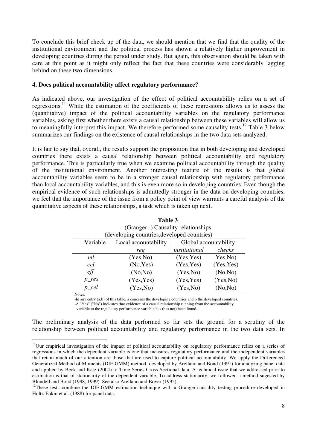To conclude this brief check up of the data, we should mention that we find that the quality of the institutional environment and the political process has shown a relatively higher improvement in developing countries during the period under study. But again, this observation should be taken with care at this point as it might only reflect the fact that these countries were considerably lagging behind on these two dimensions.

### **4. Does political accountability affect regulatory performance?**

As indicated above, our investigation of the effect of political accountability relies on a set of regressions.<sup>11</sup> While the estimation of the coefficients of these regressions allows us to assess the (quantitative) impact of the political accountability variables on the regulatory performance variables, asking first whether there exists a causal relationship between these variables will allow us to meaningfully interpret this impact. We therefore performed some causality tests.<sup>12</sup> Table 3 below summarizes our findings on the existence of causal relationships in the two data sets analyzed.

It is fair to say that, overall, the results support the proposition that in both developing and developed countries there exists a causal relationship between political accountability and regulatory performance. This is particularly true when we examine political accountability through the quality of the institutional environment. Another interesting feature of the results is that global accountability variables seem to be in a stronger causal relationship with regulatory performance than local accountability variables, and this is even more so in developing countries. Even though the empirical evidence of such relationships is admittedly stronger in the data on developing countries, we feel that the importance of the issue from a policy point of view warrants a careful analysis of the quantitative aspects of these relationships, a task which is taken up next.

| $\sqrt{2}$<br>(developing countries, developed countries) |                      |                       |            |  |  |
|-----------------------------------------------------------|----------------------|-----------------------|------------|--|--|
| Variable                                                  | Local accountability | Global accountability |            |  |  |
|                                                           | reg                  | institutional         | checks     |  |  |
| ml                                                        | (Yes, No)            | (Yes, Yes)            | Yes, No)   |  |  |
| cel                                                       | No, Yes)             | (Yes, Yes)            | (Yes, Yes) |  |  |
| $\ell$ ff                                                 | (No, No)             | (Yes, No)             | (No, No)   |  |  |
| $p_{\text{res}}$                                          | (Yes, Yes)           | (Yes, Yes)            | (Yes, No)  |  |  |
| $p_{\perp}$ cel                                           | (Yes, No)            | (Yes, No)             | (No, No)   |  |  |
| Notes:                                                    |                      |                       |            |  |  |

**Table 3**  (Granger -) Causality relationships

-In any entry (a,b) of this table, a concerns the developing countries and b the developed countries.

-A "Yes" ("No") indicates that evidence of a causal relationship running from the accountability

variable to the regulatory performance variable has (has not) been found.

l

The preliminary analysis of the data performed so far sets the ground for a scrutiny of the relationship between political accountability and regulatory performance in the two data sets. In

 $11$ Our empirical investigation of the impact of political accountability on regulatory performance relies on a series of regressions in which the dependent variable is one that measures regulatory performance and the independent variables that retain much of our attention are those that are used to capture political accountability. We apply the Differenced Generalized Method of Moments (DIF-GMM) method developed by Arellano and Bond (1991) for analyzing panel data and applied by Beck and Katz (2004) to Time Series Cross-Sectional data. A technical issue that we addressed prior to estimation is that of stationarity of the dependent variable. To address stationarity, we followed a method sugested by Blundell and Bond (1998, 1999). See also Arellano and Bover (1995).

<sup>&</sup>lt;sup>12</sup>These tests combine the DIF-GMM estimation technique with a Granger-causality testing procedure developed in Holtz-Eakin et al. (1988) for panel data.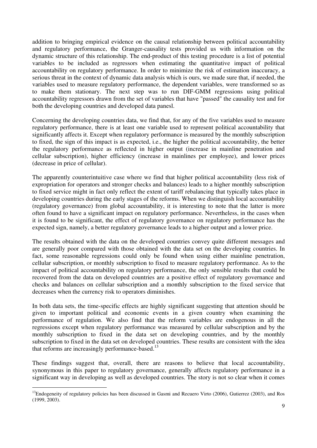addition to bringing empirical evidence on the causal relationship between political accountability and regulatory performance, the Granger-causality tests provided us with information on the dynamic structure of this relationship. The end-product of this testing procedure is a list of potential variables to be included as regressors when estimating the quantitative impact of political accountability on regulatory performance. In order to minimize the risk of estimation inaccuracy, a serious threat in the context of dynamic data analysis which is ours, we made sure that, if needed, the variables used to measure regulatory performance, the dependent variables, were transformed so as to make them stationary. The next step was to run DIF-GMM regressions using political accountability regressors drawn from the set of variables that have "passed" the causality test and for both the developing countries and developed data panesl.

Concerning the developing countries data, we find that, for any of the five variables used to measure regulatory performance, there is at least one variable used to represent political accountability that significantly affects it. Except when regulatory performance is measured by the monthly subscription to fixed, the sign of this impact is as expected, i.e., the higher the political accountability, the better the regulatory performance as reflected in higher output (increase in mainline penetration and cellular subscription), higher efficiency (increase in mainlines per employee), and lower prices (decrease in price of cellular).

The apparently counterintuitive case where we find that higher political accountability (less risk of expropriation for operators and stronger checks and balances) leads to a higher monthly subscription to fixed service might in fact only reflect the extent of tariff rebalancing that typically takes place in developing countries during the early stages of the reforms. When we distinguish local accountability (regulatory governance) from global accountability, it is interesting to note that the latter is more often found to have a significant impact on regulatory performance. Nevertheless, in the cases when it is found to be significant, the effect of regulatory governance on regulatory performance has the expected sign, namely, a better regulatory governance leads to a higher output and a lower price.

The results obtained with the data on the developed countries convey quite different messages and are generally poor compared with those obtained with the data set on the developing countries. In fact, some reasonable regressions could only be found when using either mainline penetration, cellular subscription, or monthly subscription to fixed to measure regulatory performance. As to the impact of political accountability on regulatory performance, the only sensible results that could be recovered from the data on developed countries are a positive effect of regulatory governance and checks and balances on cellular subscription and a monthly subscription to the fixed service that decreases when the currency risk to operators diminishes.

In both data sets, the time-specific effects are highly significant suggesting that attention should be given to important political and economic events in a given country when examining the performance of regulation. We also find that the reform variables are endogenous in all the regressions except when regulatory performance was measured by cellular subscription and by the monthly subscription to fixed in the data set on developing countries, and by the monthly subscription to fixed in the data set on developed countries. These results are consistent with the idea that reforms are increasingly performance-based. $^{13}$ 

These findings suggest that, overall, there are reasons to believe that local accountability, synonymous in this paper to regulatory governance, generally affects regulatory performance in a significant way in developing as well as developed countries. The story is not so clear when it comes

 $^{13}$ Endogeneity of regulatory policies has been discussed in Gasmi and Recuero Virto (2006), Gutierrez (2003), and Ros (1999, 2003).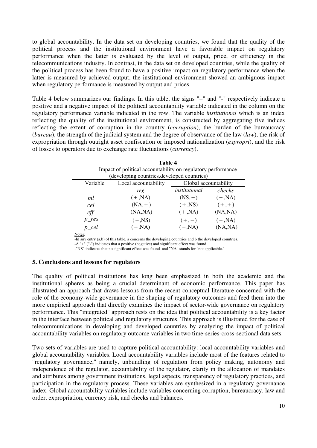to global accountability. In the data set on developing countries, we found that the quality of the political process and the institutional environment have a favorable impact on regulatory performance when the latter is evaluated by the level of output, price, or efficiency in the telecommunications industry. In contrast, in the data set on developed countries, while the quality of the political process has been found to have a positive impact on regulatory performance when the latter is measured by achieved output, the institutional environment showed an ambiguous impact when regulatory performance is measured by output and prices.

Table 4 below summarizes our findings. In this table, the signs "+" and "-" respectively indicate a positive and a negative impact of the political accountability variable indicated in the column on the regulatory performance variable indicated in the row. The variable *institutional* which is an index reflecting the quality of the institutional environment, is constructed by aggregating five indices reflecting the extent of corruption in the country (*corruption*), the burden of the bureaucracy (*bureau*), the strength of the judicial system and the degree of observance of the law (*law*), the risk of expropriation through outright asset confiscation or imposed nationalization (*expropri*), and the risk of losses to operators due to exchange rate fluctuations (*currency*).

| Impact of political accountability on regulatory performance |                      |                       |           |  |
|--------------------------------------------------------------|----------------------|-----------------------|-----------|--|
| (developing countries, developed countries)                  |                      |                       |           |  |
| Variable                                                     | Local accountability | Global accountability |           |  |
|                                                              | reg                  | institutional         | checks    |  |
| ml                                                           | $(+, NA)$            | $(NS, -)$             | $(+, NA)$ |  |
| cel                                                          | $(NA,+)$             | $(+, NS)$             | $(+,+)$   |  |
| $\ell$ ff                                                    | (NA, NA)             | $(+, NA)$             | (NA, NA)  |  |
| $p_{\text{res}}$                                             | $(-, NS)$            | $(+,-)$               | $(+, NA)$ |  |
| $p_{\perp}$ cel                                              | $(-, NA)$            | $(-, NA)$             | (NA, NA)  |  |
|                                                              |                      |                       |           |  |

**Table 4**  Impact of political accountability on regulatory performance

Notes:

-In any entry (a,b) of this table, a concerns the developing countries and b the developed countries.

-A "+" ("-") indicates that a positive (negative) and significant effect was found.

-"NS" indicates that no significant effect was found and "NA" stands for "not applicable."

#### **5. Conclusions and lessons for regulators**

The quality of political institutions has long been emphasized in both the academic and the institutional spheres as being a crucial determinant of economic performance. This paper has illustrated an approach that draws lessons from the recent conceptual literature concerned with the role of the economy-wide governance in the shaping of regulatory outcomes and feed them into the more empirical approach that directly examines the impact of sector-wide governance on regulatory performance. This "integrated" approach rests on the idea that political accountability is a key factor in the interface between political and regulatory structures. This approach is illustrated for the case of telecommunications in developing and developed countries by analyzing the impact of political accountability variables on regulatory outcome variables in two time-series-cross-sectional data sets.

Two sets of variables are used to capture political accountability: local accountability variables and global accountability variables. Local accountability variables include most of the features related to "regulatory governance," namely, unbundling of regulation from policy making, autonomy and independence of the regulator, accountability of the regulator, clarity in the allocation of mandates and attributes among government institutions, legal aspects, transparency of regulatory practices, and participation in the regulatory process. These variables are synthesized in a regulatory governance index. Global accountability variables include variables concerning corruption, bureaucracy, law and order, expropriation, currency risk, and checks and balances.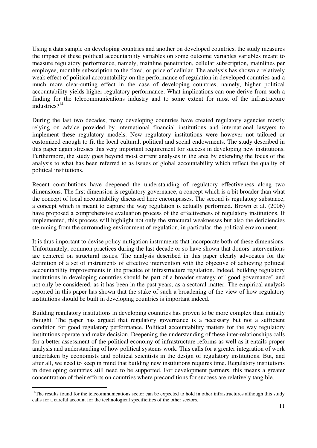Using a data sample on developing countries and another on developed countries, the study measures the impact of these political accountability variables on some outcome variables variables meant to measure regulatory performance, namely, mainline penetration, cellular subscription, mainlines per employee, monthly subscription to the fixed, or price of cellular. The analysis has shown a relatively weak effect of political accountability on the performance of regulation in developed countries and a much more clear-cutting effect in the case of developing countries, namely, higher political accountability yields higher regulatory performance. What implications can one derive from such a finding for the telecommunications industry and to some extent for most of the infrastructure industries $2^{14}$ 

During the last two decades, many developing countries have created regulatory agencies mostly relying on advice provided by international financial institutions and international lawyers to implement these regulatory models. New regulatory institutions were however not tailored or customized enough to fit the local cultural, political and social endowments. The study described in this paper again stresses this very important requirement for success in developing new institutions. Furthermore, the study goes beyond most current analyses in the area by extending the focus of the analysis to what has been referred to as issues of global accountability which reflect the quality of political institutions.

Recent contributions have deepened the understanding of regulatory effectiveness along two dimensions. The first dimension is regulatory governance, a concept which is a bit broader than what the concept of local accountability discussed here encompasses. The second is regulatory substance, a concept which is meant to capture the way regulation is actually performed. Brown et al. (2006) have proposed a comprehensive evaluation process of the effectiveness of regulatory institutions. If implemented, this process will highlight not only the structural weaknesses but also the deficiencies stemming from the surrounding environment of regulation, in particular, the political environment.

It is thus important to devise policy mitigation instruments that incorporate both of these dimensions. Unfortunately, common practices during the last decade or so have shown that donors' interventions are centered on structural issues. The analysis described in this paper clearly advocates for the definition of a set of instruments of effective intervention with the objective of achieving political accountability improvements in the practice of infrastructure regulation. Indeed, building regulatory institutions in developing countries should be part of a broader strategy of "good governance" and not only be considered, as it has been in the past years, as a sectoral matter. The empirical analysis reported in this paper has shown that the stake of such a broadening of the view of how regulatory institutions should be built in developing countries is important indeed.

Building regulatory institutions in developing countries has proven to be more complex than initially thought. The paper has argued that regulatory governance is a necessary but not a sufficient condition for good regulatory performance. Political accountability matters for the way regulatory institutions operate and make decision. Deepening the understanding of these inter-relationships calls for a better assessment of the political economy of infrastructure reforms as well as it entails proper analysis and understanding of how political systems work. This calls for a greater integration of work undertaken by economists and political scientists in the design of regulatory institutions. But, and after all, we need to keep in mind that building new institutions requires time. Regulatory institutions in developing countries still need to be supported. For development partners, this means a greater concentration of their efforts on countries where preconditions for success are relatively tangible.

 $14$ The results found for the telecommunications sector can be expected to hold in other infrastructures although this study calls for a careful account for the technological specificities of the other sectors.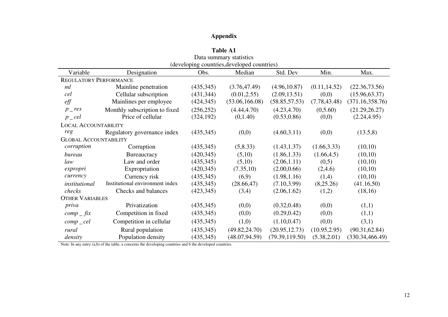# **Appendix**

| <b>Table A1</b>               |                                 |            |                                             |                 |               |                  |
|-------------------------------|---------------------------------|------------|---------------------------------------------|-----------------|---------------|------------------|
| Data summary statistics       |                                 |            |                                             |                 |               |                  |
|                               |                                 |            | (developing countries, developed countries) |                 |               |                  |
| Variable                      | Designation                     | Obs.       | Median                                      | Std. Dev        | Min.          | Max.             |
| <b>REGULATORY PERFORMANCE</b> |                                 |            |                                             |                 |               |                  |
| ml                            | Mainline penetration            | (435,345)  | (3.76, 47.49)                               | (4.96, 10.87)   | (0.11, 14.52) | (22.36, 73.56)   |
| cel                           | Cellular subscription           | (431, 344) | (0.01, 2.55)                                | (2.09, 13.51)   | (0,0)         | (15.96, 63.37)   |
| $\ell f f$                    | Mainlines per employee          | (424, 345) | (53.06, 166.08)                             | (58.85, 57.53)  | (7.78, 43.48) | (371.16, 358.76) |
| $p_{\text{-}}$ res            | Monthly subscription to fixed   | (256, 252) | (4.44, 4.70)                                | (4.23, 4.70)    | (0,5.60)      | (21.29, 26.27)   |
| $p_{\textit{--}}cel$          | Price of cellular               | (324, 192) | (0,1.40)                                    | (0.53, 0.86)    | (0,0)         | (2.24, 4.95)     |
| <b>LOCAL ACCOUNTABILITY</b>   |                                 |            |                                             |                 |               |                  |
| reg                           | Regulatory governance index     | (435,345)  | (0,0)                                       | (4.60, 3.11)    | (0,0)         | (13.5, 8)        |
| <b>GLOBAL ACCOUNTABILITY</b>  |                                 |            |                                             |                 |               |                  |
| corruption                    | Corruption                      | (435,345)  | (5, 8.33)                                   | (1.43, 1.37)    | (1.66, 3.33)  | (10,10)          |
| bureau                        | Bureaucracy                     | (420, 345) | (5,10)                                      | (1.86, 1.33)    | (1.66, 4.5)   | (10,10)          |
| law                           | Law and order                   | (435,345)  | (5,10)                                      | (2.06, 1.11)    | (0,5)         | (10,10)          |
| expropri                      | Expropriation                   | (420, 345) | (7.35,10)                                   | (2.00, 0.66)    | (2,4.6)       | (10,10)          |
| currency                      | Currency risk                   | (435, 345) | (6,9)                                       | (1.98, 1.16)    | (1,4)         | (10,10)          |
| institutional                 | Institutional environment index | (435, 345) | (28.66, 47)                                 | (7.10, 3.99)    | (8,25.26)     | (41.16,50)       |
| checks                        | Checks and balances             | (423, 345) | (3,4)                                       | (2.06, 1.62)    | (1,2)         | (18,16)          |
| <b>OTHER VARIABLES</b>        |                                 |            |                                             |                 |               |                  |
| priva                         | Privatization                   | (435, 345) | (0,0)                                       | (0.32, 0.48)    | (0,0)         | (1,1)            |
| $comp\_fix$                   | Competition in fixed            | (435,345)  | (0,0)                                       | (0.29, 0.42)    | (0,0)         | (1,1)            |
| $comp$ <sub>c</sub> $el$      | Competition in cellular         | (435, 345) | (1,0)                                       | (1.10, 0.47)    | (0,0)         | (3,1)            |
| rural                         | Rural population                | (435, 345) | (49.82, 24.70)                              | (20.95, 12.73)  | (10.95, 2.95) | (90.31, 62.84)   |
| density                       | Population density              | (435, 345) | (48.07, 94.59)                              | (79.39, 119.50) | (5.38, 2.01)  | (330.34, 466.49) |

Note: In any entry (a,b) of the table, a concerns the developing countries and b the developed countries.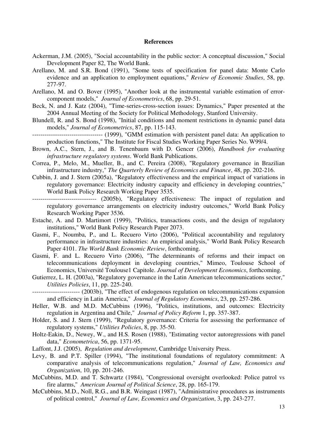#### **References**

- Ackerman, J.M. (2005), "Social accountability in the public sector: A conceptual discussion," Social Development Paper 82, The World Bank.
- Arellano, M. and S.R. Bond (1991), "Some tests of specification for panel data: Monte Carlo evidence and an application to employment equations," *Review of Economic Studies*, 58, pp. 277-97.
- Arellano, M. and O. Bover (1995), "Another look at the instrumental variable estimation of errorcomponent models," *Journal of Econometrics*, 68, pp. 29-51.
- Beck, N. and J. Katz (2004), "Time-series-cross-section issues: Dynamics," Paper presented at the 2004 Annual Meeting of the Society for Political Methodology, Stanford University.
- Blundell, R. and S. Bond (1998), "Initial conditions and moment restrictions in dynamic panel data models," *Journal of Econometrics*, 87, pp. 115-143.
- ---------------------------------- (1999), "GMM estimation with persistent panel data: An application to production functions," The Institute for Fiscal Studies Working Paper Series No. W99/4.
- Brown, A.C., Stern, J., and B. Tenenbaum with D. Gencer (2006), *Handbook for evaluating infrastructure regulatory systems*. World Bank Publications.
- Correa, P., Melo, M., Mueller, B., and C. Pereira (2008), "Regulatory governance in Brazilian infrastructure industry," *The Quarterly Review of Economics and Finance*, 48, pp. 202-216.
- Cubbin, J. and J. Stern (2005a), "Regulatory effectiveness and the empirical impact of variations in regulatory governance: Electricity industry capacity and efficiency in developing countries," World Bank Policy Research Working Paper 3535.
- ------------------------------- (2005b), "Regulatory effectiveness: The impact of regulation and regulatory governance arrangements on electricity industry outcomes," World Bank Policy Research Working Paper 3536.
- Estache, A. and D. Martimort (1999), "Politics, transactions costs, and the design of regulatory institutions," World Bank Policy Research Paper 2073.
- Gasmi, F., Noumba, P., and L. Recuero Virto (2006), "Political accountability and regulatory performance in infrastructure industries: An empirical analysis," World Bank Policy Research Paper 4101. *The World Bank Economic Review*, forthcoming.
- Gasmi, F. and L. Recuero Virto (2006), "The determinants of reforms and their impact on telecommunications deployment in developing countries," Mimeo, Toulouse School of Economics, Université Toulouse1 Capitole. *Journal of Development Economics*, forthcoming.
- Gutierrez, L. H. (2003a), "Regulatory governance in the Latin American telecommunications sector," *Utilities Policies*, 11, pp. 225-240.
- ----------------------- (2003b), "The effect of endogenous regulation on telecommunications expansion and efficiency in Latin America," *Journal of Regulatory Economics*, 23, pp. 257-286.
- Heller, W.B. and M.D. McCubbins (1996), "Politics, institutions, and outcomes: Electricity regulation in Argentina and Chile," *Journal of Policy Reform* 1, pp. 357-387.
- Holder, S. and J. Stern (1999), "Regulatory governance: Criteria for assessing the performance of regulatory systems," *Utilities Policies*, 8, pp. 35-50.
- Holtz-Eakin, D., Newey, W., and H.S. Rosen (1988), "Estimating vector autoregressions with panel data," *Econometrica*, 56, pp. 1371-95.
- Laffont, J.J. (2005), *Regulation and development*, Cambridge University Press.
- Levy, B. and P.T. Spiller (1994), "The institutional foundations of regulatory commitment: A comparative analysis of telecommunications regulation," *Journal of Law, Economics and Organization*, 10, pp. 201-246.
- McCubbins, M.D. and T. Schwartz (1984), "Congressional oversight overlooked: Police patrol vs fire alarms,'' *American Journal of Political Science*, 28, pp. 165-179.
- McCubbins, M.D., Noll, R.G., and B.R. Weingast (1987), "Administrative procedures as instruments of political control,'' *Journal of Law, Economics and Organization*, 3, pp. 243-277.